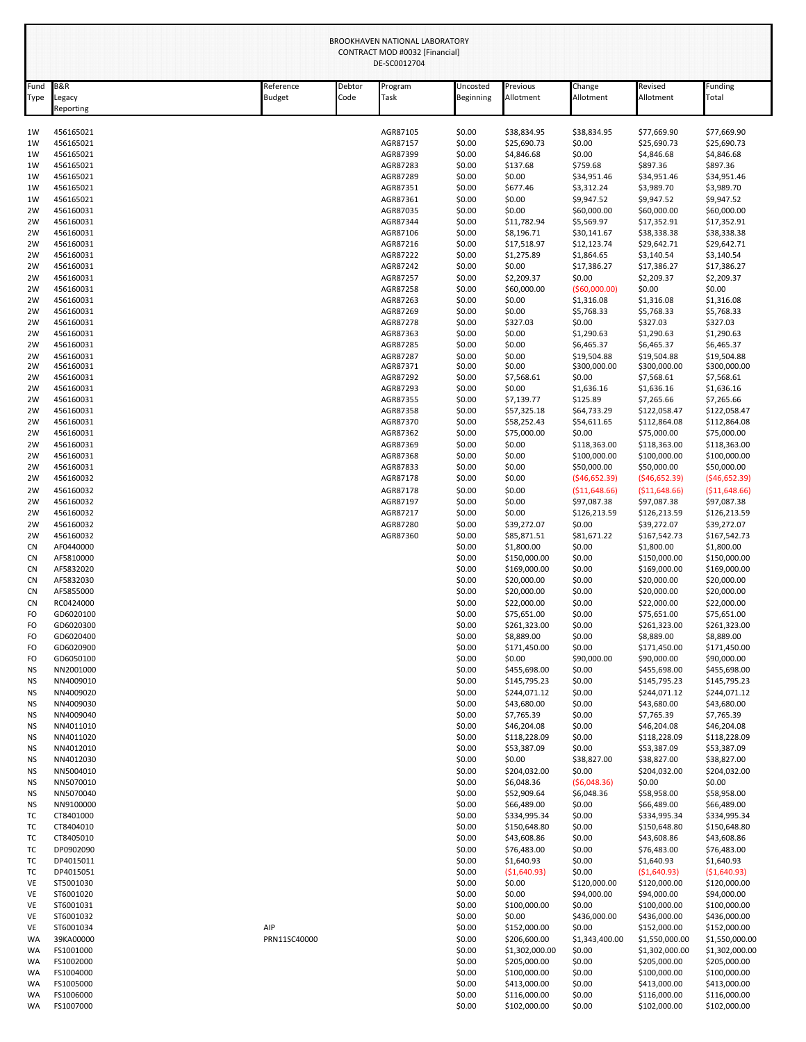| BROOKHAVEN NATIONAL LABORATORY<br>CONTRACT MOD #0032 [Financial]<br>DE-SC0012704 |                          |                            |                |                      |                       |                              |                             |                                |                                |  |
|----------------------------------------------------------------------------------|--------------------------|----------------------------|----------------|----------------------|-----------------------|------------------------------|-----------------------------|--------------------------------|--------------------------------|--|
| Fund<br>Type                                                                     | <b>B&amp;R</b><br>Legacy | Reference<br><b>Budget</b> | Debtor<br>Code | Program<br>Task      | Uncosted<br>Beginning | Previous<br>Allotment        | Change<br>Allotment         | Revised<br>Allotment           | Funding<br>Total               |  |
|                                                                                  | Reporting                |                            |                |                      |                       |                              |                             |                                |                                |  |
| 1W<br>1W                                                                         | 456165021<br>456165021   |                            |                | AGR87105<br>AGR87157 | \$0.00<br>\$0.00      | \$38,834.95<br>\$25,690.73   | \$38,834.95<br>\$0.00       | \$77,669.90<br>\$25,690.73     | \$77,669.90<br>\$25,690.73     |  |
| 1W                                                                               | 456165021                |                            |                | AGR87399             | \$0.00                | \$4,846.68                   | \$0.00                      | \$4,846.68                     | \$4,846.68                     |  |
| 1W                                                                               | 456165021                |                            |                | AGR87283             | \$0.00                | \$137.68                     | \$759.68                    | \$897.36                       | \$897.36                       |  |
| 1W                                                                               | 456165021                |                            |                | AGR87289             | \$0.00                | \$0.00                       | \$34,951.46                 | \$34,951.46                    | \$34,951.46                    |  |
| 1W                                                                               | 456165021                |                            |                | AGR87351             | \$0.00                | \$677.46                     | \$3,312.24                  | \$3,989.70                     | \$3,989.70                     |  |
| 1W                                                                               | 456165021                |                            |                | AGR87361             | \$0.00                | \$0.00                       | \$9,947.52                  | \$9,947.52                     | \$9,947.52                     |  |
| 2W                                                                               | 456160031                |                            |                | AGR87035             | \$0.00                | \$0.00                       | \$60,000.00                 | \$60,000.00                    | \$60,000.00                    |  |
| 2W                                                                               | 456160031                |                            |                | AGR87344             | \$0.00                | \$11,782.94                  | \$5,569.97                  | \$17,352.91                    | \$17,352.91                    |  |
| 2W<br>2W                                                                         | 456160031<br>456160031   |                            |                | AGR87106<br>AGR87216 | \$0.00<br>\$0.00      | \$8,196.71<br>\$17,518.97    | \$30,141.67<br>\$12,123.74  | \$38,338.38<br>\$29,642.71     | \$38,338.38<br>\$29,642.71     |  |
| 2W                                                                               | 456160031                |                            |                | AGR87222             | \$0.00                | \$1,275.89                   | \$1,864.65                  | \$3,140.54                     | \$3,140.54                     |  |
| 2W                                                                               | 456160031                |                            |                | AGR87242             | \$0.00                | \$0.00                       | \$17,386.27                 | \$17,386.27                    | \$17,386.27                    |  |
| 2W                                                                               | 456160031                |                            |                | AGR87257             | \$0.00                | \$2,209.37                   | \$0.00                      | \$2,209.37                     | \$2,209.37                     |  |
| 2W                                                                               | 456160031                |                            |                | AGR87258             | \$0.00                | \$60,000.00                  | ( \$60,000.00)              | \$0.00                         | \$0.00                         |  |
| 2W                                                                               | 456160031                |                            |                | AGR87263             | \$0.00                | \$0.00                       | \$1,316.08                  | \$1,316.08                     | \$1,316.08                     |  |
| 2W                                                                               | 456160031                |                            |                | AGR87269             | \$0.00                | \$0.00                       | \$5,768.33                  | \$5,768.33                     | \$5,768.33                     |  |
| 2W                                                                               | 456160031                |                            |                | AGR87278             | \$0.00                | \$327.03                     | \$0.00                      | \$327.03                       | \$327.03                       |  |
| 2W                                                                               | 456160031                |                            |                | AGR87363             | \$0.00                | \$0.00                       | \$1,290.63                  | \$1,290.63                     | \$1,290.63                     |  |
| 2W<br>2W                                                                         | 456160031                |                            |                | AGR87285<br>AGR87287 | \$0.00<br>\$0.00      | \$0.00<br>\$0.00             | \$6,465.37                  | \$6,465.37<br>\$19,504.88      | \$6,465.37<br>\$19,504.88      |  |
| 2W                                                                               | 456160031<br>456160031   |                            |                | AGR87371             | \$0.00                | \$0.00                       | \$19,504.88<br>\$300,000.00 | \$300,000.00                   | \$300,000.00                   |  |
| 2W                                                                               | 456160031                |                            |                | AGR87292             | \$0.00                | \$7,568.61                   | \$0.00                      | \$7,568.61                     | \$7,568.61                     |  |
| 2W                                                                               | 456160031                |                            |                | AGR87293             | \$0.00                | \$0.00                       | \$1,636.16                  | \$1,636.16                     | \$1,636.16                     |  |
| 2W                                                                               | 456160031                |                            |                | AGR87355             | \$0.00                | \$7,139.77                   | \$125.89                    | \$7,265.66                     | \$7,265.66                     |  |
| 2W                                                                               | 456160031                |                            |                | AGR87358             | \$0.00                | \$57,325.18                  | \$64,733.29                 | \$122,058.47                   | \$122,058.47                   |  |
| 2W                                                                               | 456160031                |                            |                | AGR87370             | \$0.00                | \$58,252.43                  | \$54,611.65                 | \$112,864.08                   | \$112,864.08                   |  |
| 2W                                                                               | 456160031                |                            |                | AGR87362             | \$0.00                | \$75,000.00                  | \$0.00                      | \$75,000.00                    | \$75,000.00                    |  |
| 2W                                                                               | 456160031<br>456160031   |                            |                | AGR87369             | \$0.00                | \$0.00<br>\$0.00             | \$118,363.00                | \$118,363.00                   | \$118,363.00                   |  |
| 2W<br>2W                                                                         | 456160031                |                            |                | AGR87368<br>AGR87833 | \$0.00<br>\$0.00      | \$0.00                       | \$100,000.00<br>\$50,000.00 | \$100,000.00<br>\$50,000.00    | \$100,000.00<br>\$50,000.00    |  |
| 2W                                                                               | 456160032                |                            |                | AGR87178             | \$0.00                | \$0.00                       | (546, 652.39)               | (546, 652.39)                  | (546, 652.39)                  |  |
| 2W                                                                               | 456160032                |                            |                | AGR87178             | \$0.00                | \$0.00                       | ( \$11,648.66)              | ( \$11,648.66)                 | ( \$11,648.66)                 |  |
| 2W                                                                               | 456160032                |                            |                | AGR87197             | \$0.00                | \$0.00                       | \$97,087.38                 | \$97,087.38                    | \$97,087.38                    |  |
| 2W                                                                               | 456160032                |                            |                | AGR87217             | \$0.00                | \$0.00                       | \$126,213.59                | \$126,213.59                   | \$126,213.59                   |  |
| 2W                                                                               | 456160032                |                            |                | AGR87280             | \$0.00                | \$39,272.07                  | \$0.00                      | \$39,272.07                    | \$39,272.07                    |  |
| 2W                                                                               | 456160032                |                            |                | AGR87360             | \$0.00                | \$85,871.51                  | \$81,671.22                 | \$167,542.73                   | \$167,542.73                   |  |
| <b>CN</b>                                                                        | AF0440000                |                            |                |                      | \$0.00                | \$1,800.00                   | \$0.00                      | \$1,800.00                     | \$1,800.00                     |  |
| <b>CN</b>                                                                        | AF5810000                |                            |                |                      | \$0.00                | \$150,000.00                 | \$0.00                      | \$150,000.00                   | \$150,000.00                   |  |
| <b>CN</b><br><b>CN</b>                                                           | AF5832020<br>AF5832030   |                            |                |                      | \$0.00<br>\$0.00      | \$169,000.00<br>\$20,000.00  | \$0.00<br>\$0.00            | \$169,000.00<br>\$20,000.00    | \$169,000.00<br>\$20,000.00    |  |
| <b>CN</b>                                                                        | AF5855000                |                            |                |                      | \$0.00                | \$20,000.00                  | \$0.00                      | \$20,000.00                    | \$20,000.00                    |  |
| <b>CN</b>                                                                        | RC0424000                |                            |                |                      | \$0.00                | \$22,000.00                  | \$0.00                      | \$22,000.00                    | \$22,000.00                    |  |
| FO                                                                               | GD6020100                |                            |                |                      | \$0.00                | \$75,651.00                  | \$0.00                      | \$75,651.00                    | \$75,651.00                    |  |
| FO                                                                               | GD6020300                |                            |                |                      | \$0.00                | \$261,323.00                 | \$0.00                      | \$261,323.00                   | \$261,323.00                   |  |
| FO                                                                               | GD6020400                |                            |                |                      | \$0.00                | \$8,889.00                   | \$0.00                      | \$8,889.00                     | \$8,889.00                     |  |
| FO                                                                               | GD6020900                |                            |                |                      | \$0.00                | \$171,450.00                 | \$0.00                      | \$171,450.00                   | \$171,450.00                   |  |
| FO                                                                               | GD6050100                |                            |                |                      | \$0.00                | \$0.00                       | \$90,000.00                 | \$90,000.00                    | \$90,000.00                    |  |
| ΝS                                                                               | NN2001000                |                            |                |                      | \$0.00                | \$455,698.00                 | \$0.00                      | \$455,698.00                   | \$455,698.00<br>\$145,795.23   |  |
| <b>NS</b><br><b>NS</b>                                                           | NN4009010<br>NN4009020   |                            |                |                      | \$0.00<br>\$0.00      | \$145,795.23<br>\$244,071.12 | \$0.00<br>\$0.00            | \$145,795.23<br>\$244,071.12   | \$244,071.12                   |  |
| <b>NS</b>                                                                        | NN4009030                |                            |                |                      | \$0.00                | \$43,680.00                  | \$0.00                      | \$43,680.00                    | \$43,680.00                    |  |
| <b>NS</b>                                                                        | NN4009040                |                            |                |                      | \$0.00                | \$7,765.39                   | \$0.00                      | \$7,765.39                     | \$7,765.39                     |  |
| ΝS                                                                               | NN4011010                |                            |                |                      | \$0.00                | \$46,204.08                  | \$0.00                      | \$46,204.08                    | \$46,204.08                    |  |
| ΝS                                                                               | NN4011020                |                            |                |                      | \$0.00                | \$118,228.09                 | \$0.00                      | \$118,228.09                   | \$118,228.09                   |  |
| <b>NS</b>                                                                        | NN4012010                |                            |                |                      | \$0.00                | \$53,387.09                  | \$0.00                      | \$53,387.09                    | \$53,387.09                    |  |
| <b>NS</b>                                                                        | NN4012030                |                            |                |                      | \$0.00                | \$0.00                       | \$38,827.00                 | \$38,827.00                    | \$38,827.00                    |  |
| <b>NS</b>                                                                        | NN5004010                |                            |                |                      | \$0.00                | \$204,032.00                 | \$0.00                      | \$204,032.00                   | \$204,032.00                   |  |
| <b>NS</b>                                                                        | NN5070010                |                            |                |                      | \$0.00                | \$6,048.36                   | (56,048.36)                 | \$0.00                         | \$0.00                         |  |
| <b>NS</b>                                                                        | NN5070040                |                            |                |                      | \$0.00                | \$52,909.64<br>\$66,489.00   | \$6,048.36<br>\$0.00        | \$58,958.00                    | \$58,958.00<br>\$66,489.00     |  |
| <b>NS</b><br>тc                                                                  | NN9100000<br>CT8401000   |                            |                |                      | \$0.00<br>\$0.00      | \$334,995.34                 | \$0.00                      | \$66,489.00<br>\$334,995.34    | \$334,995.34                   |  |
| тc                                                                               | CT8404010                |                            |                |                      | \$0.00                | \$150,648.80                 | \$0.00                      | \$150,648.80                   | \$150,648.80                   |  |
| ТC                                                                               | CT8405010                |                            |                |                      | \$0.00                | \$43,608.86                  | \$0.00                      | \$43,608.86                    | \$43,608.86                    |  |
| ТC                                                                               | DP0902090                |                            |                |                      | \$0.00                | \$76,483.00                  | \$0.00                      | \$76,483.00                    | \$76,483.00                    |  |
| тc                                                                               | DP4015011                |                            |                |                      | \$0.00                | \$1,640.93                   | \$0.00                      | \$1,640.93                     | \$1,640.93                     |  |
| тc                                                                               | DP4015051                |                            |                |                      | \$0.00                | ( \$1,640.93)                | \$0.00                      | ( \$1,640.93)                  | ( \$1,640.93)                  |  |
| VE                                                                               | ST5001030                |                            |                |                      | \$0.00                | \$0.00                       | \$120,000.00                | \$120,000.00                   | \$120,000.00                   |  |
| VE                                                                               | ST6001020                |                            |                |                      | \$0.00                | \$0.00                       | \$94,000.00                 | \$94,000.00                    | \$94,000.00                    |  |
| VE                                                                               | ST6001031                |                            |                |                      | \$0.00                | \$100,000.00                 | \$0.00                      | \$100,000.00                   | \$100,000.00                   |  |
| VE                                                                               | ST6001032                |                            |                |                      | \$0.00                | \$0.00                       | \$436,000.00                | \$436,000.00                   | \$436,000.00                   |  |
| VE<br>WA                                                                         | ST6001034<br>39KA00000   | AIP<br>PRN11SC40000        |                |                      | \$0.00<br>\$0.00      | \$152,000.00<br>\$206,600.00 | \$0.00<br>\$1,343,400.00    | \$152,000.00<br>\$1,550,000.00 | \$152,000.00<br>\$1,550,000.00 |  |
| WA                                                                               | FS1001000                |                            |                |                      | \$0.00                | \$1,302,000.00               | \$0.00                      | \$1,302,000.00                 | \$1,302,000.00                 |  |
| WA                                                                               | FS1002000                |                            |                |                      | \$0.00                | \$205,000.00                 | \$0.00                      | \$205,000.00                   | \$205,000.00                   |  |
| WA                                                                               | FS1004000                |                            |                |                      | \$0.00                | \$100,000.00                 | \$0.00                      | \$100,000.00                   | \$100,000.00                   |  |
| WA                                                                               | FS1005000                |                            |                |                      | \$0.00                | \$413,000.00                 | \$0.00                      | \$413,000.00                   | \$413,000.00                   |  |
| WA                                                                               | FS1006000                |                            |                |                      | \$0.00                | \$116,000.00                 | \$0.00                      | \$116,000.00                   | \$116,000.00                   |  |
| WA                                                                               | FS1007000                |                            |                |                      | \$0.00                | \$102,000.00                 | \$0.00                      | \$102,000.00                   | \$102,000.00                   |  |